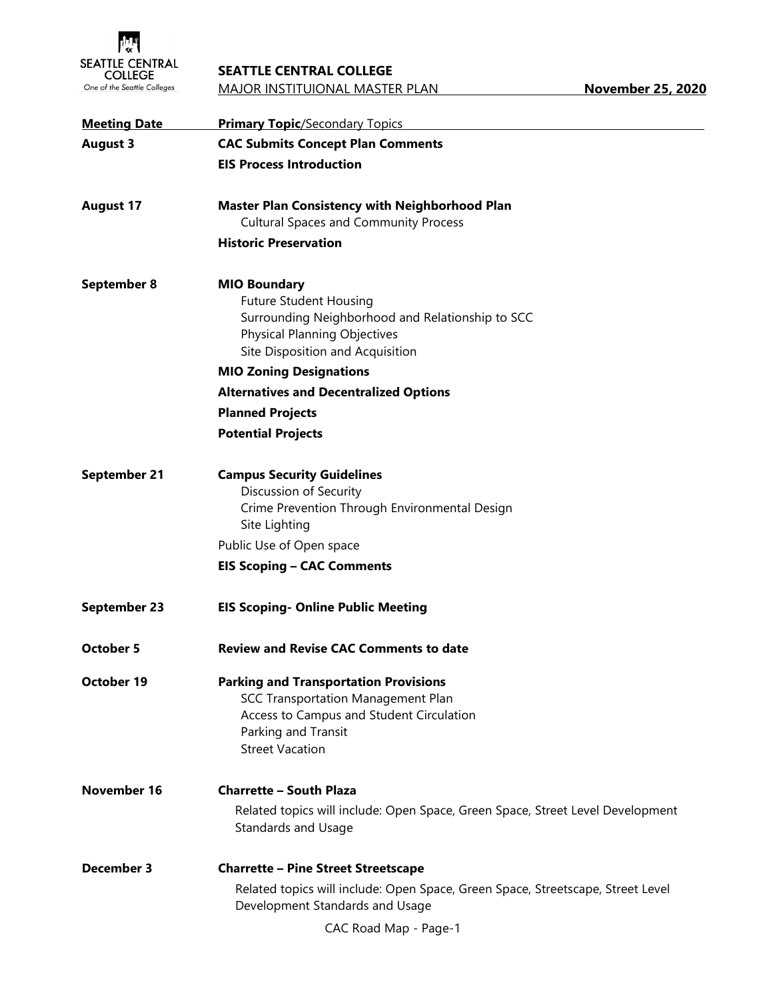

## **SEATTLE CENTRAL COLLEGE**

| <b>Meeting Date</b> | <b>Primary Topic/Secondary Topics</b>                                                                                                                                                  |
|---------------------|----------------------------------------------------------------------------------------------------------------------------------------------------------------------------------------|
| <b>August 3</b>     | <b>CAC Submits Concept Plan Comments</b>                                                                                                                                               |
|                     | <b>EIS Process Introduction</b>                                                                                                                                                        |
| <b>August 17</b>    | <b>Master Plan Consistency with Neighborhood Plan</b>                                                                                                                                  |
|                     | <b>Cultural Spaces and Community Process</b>                                                                                                                                           |
|                     | <b>Historic Preservation</b>                                                                                                                                                           |
| September 8         | <b>MIO Boundary</b><br><b>Future Student Housing</b><br>Surrounding Neighborhood and Relationship to SCC<br><b>Physical Planning Objectives</b><br>Site Disposition and Acquisition    |
|                     | <b>MIO Zoning Designations</b>                                                                                                                                                         |
|                     | <b>Alternatives and Decentralized Options</b>                                                                                                                                          |
|                     | <b>Planned Projects</b>                                                                                                                                                                |
|                     | <b>Potential Projects</b>                                                                                                                                                              |
| <b>September 21</b> | <b>Campus Security Guidelines</b><br>Discussion of Security<br>Crime Prevention Through Environmental Design<br>Site Lighting                                                          |
|                     | Public Use of Open space                                                                                                                                                               |
|                     | <b>EIS Scoping - CAC Comments</b>                                                                                                                                                      |
| <b>September 23</b> | <b>EIS Scoping- Online Public Meeting</b>                                                                                                                                              |
| <b>October 5</b>    | <b>Review and Revise CAC Comments to date</b>                                                                                                                                          |
| October 19          | <b>Parking and Transportation Provisions</b><br><b>SCC Transportation Management Plan</b><br>Access to Campus and Student Circulation<br>Parking and Transit<br><b>Street Vacation</b> |
| <b>November 16</b>  | <b>Charrette - South Plaza</b><br>Related topics will include: Open Space, Green Space, Street Level Development<br><b>Standards and Usage</b>                                         |
| December 3          | <b>Charrette - Pine Street Streetscape</b>                                                                                                                                             |
|                     | Related topics will include: Open Space, Green Space, Streetscape, Street Level<br>Development Standards and Usage                                                                     |
|                     | CAC Road Map - Page-1                                                                                                                                                                  |